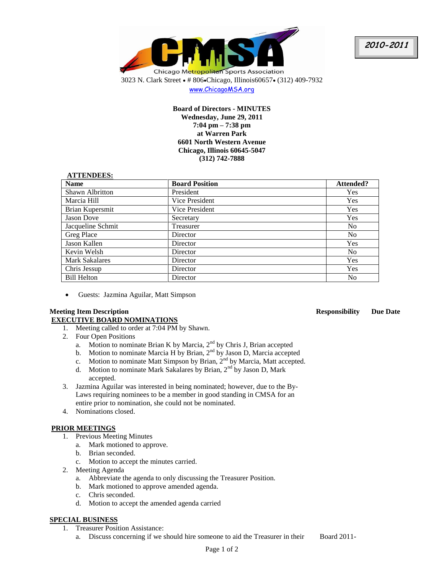

www.ChicagoMSA.org

**Board of Directors - MINUTES Wednesday, June 29, 2011 7:04 pm – 7:38 pm at Warren Park 6601 North Western Avenue Chicago, Illinois 60645-5047 (312) 742-7888**

### **ATTENDEES:**

| <b>Name</b>           | <b>Board Position</b> | Attended?      |
|-----------------------|-----------------------|----------------|
| Shawn Albritton       | President             | <b>Yes</b>     |
| Marcia Hill           | Vice President        | Yes            |
| Brian Kupersmit       | Vice President        | Yes            |
| Jason Dove            | Secretary             | Yes            |
| Jacqueline Schmit     | Treasurer             | N <sub>0</sub> |
| Greg Place            | Director              | N <sub>o</sub> |
| Jason Kallen          | Director              | <b>Yes</b>     |
| Kevin Welsh           | Director              | N <sub>o</sub> |
| <b>Mark Sakalares</b> | Director              | <b>Yes</b>     |
| Chris Jessup          | Director              | <b>Yes</b>     |
| <b>Bill Helton</b>    | Director              | No             |

Guests: Jazmina Aguilar, Matt Simpson

## **Meeting Item Description Responsibility Due Date EXECUTIVE BOARD NOMINATIONS**

- 1. Meeting called to order at 7:04 PM by Shawn.
- 2. Four Open Positions
	- a. Motion to nominate Brian K by Marcia,  $2<sup>nd</sup>$  by Chris J, Brian accepted
	- b. Motion to nominate Marcia H by Brian, 2<sup>nd</sup> by Jason D, Marcia accepted
	- c. Motion to nominate Matt Simpson by Brian, 2nd by Marcia, Matt accepted.
	- d. Motion to nominate Mark Sakalares by Brian,  $2<sup>nd</sup>$  by Jason D, Mark accepted.
- 3. Jazmina Aguilar was interested in being nominated; however, due to the By-Laws requiring nominees to be a member in good standing in CMSA for an entire prior to nomination, she could not be nominated.
- 4. Nominations closed.

# **PRIOR MEETINGS**

- 1. Previous Meeting Minutes
	- a. Mark motioned to approve.
	- b. Brian seconded.
		- c. Motion to accept the minutes carried.
- 2. Meeting Agenda
	- a. Abbreviate the agenda to only discussing the Treasurer Position.
	- b. Mark motioned to approve amended agenda.
	- c. Chris seconded.
	- d. Motion to accept the amended agenda carried

# **SPECIAL BUSINESS**

- 1. Treasurer Position Assistance:
	- a. Discuss concerning if we should hire someone to aid the Treasurer in their Board 2011-

**2010-2011**